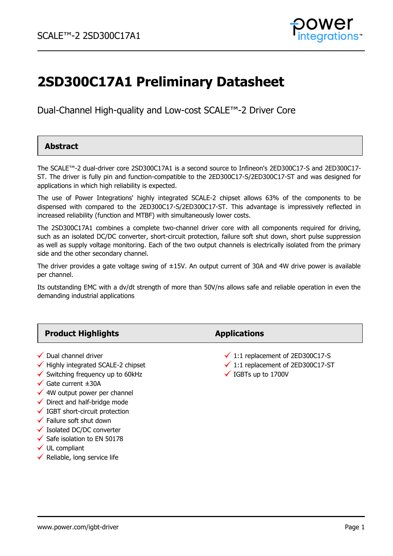

# **2SD300C17A1 Preliminary Datasheet**

Dual-Channel High-quality and Low-cost SCALE™-2 Driver Core

### **Abstract**

The SCALE™-2 dual-driver core 2SD300C17A1 is a second source to Infineon's 2ED300C17-S and 2ED300C17- ST. The driver is fully pin and function-compatible to the 2ED300C17-S/2ED300C17-ST and was designed for applications in which high reliability is expected.

The use of Power Integrations' highly integrated SCALE-2 chipset allows 63% of the components to be dispensed with compared to the 2ED300C17-S/2ED300C17-ST. This advantage is impressively reflected in increased reliability (function and MTBF) with simultaneously lower costs.

The 2SD300C17A1 combines a complete two-channel driver core with all components required for driving, such as an isolated DC/DC converter, short-circuit protection, failure soft shut down, short pulse suppression as well as supply voltage monitoring. Each of the two output channels is electrically isolated from the primary side and the other secondary channel.

The driver provides a gate voltage swing of  $\pm 15V$ . An output current of 30A and 4W drive power is available per channel.

Its outstanding EMC with a dv/dt strength of more than 50V/ns allows safe and reliable operation in even the demanding industrial applications

| <b>Product Highlights</b>                                                                                                                                                                                                                                                                                                                                                                                                        | <b>Applications</b>                                                                                                           |
|----------------------------------------------------------------------------------------------------------------------------------------------------------------------------------------------------------------------------------------------------------------------------------------------------------------------------------------------------------------------------------------------------------------------------------|-------------------------------------------------------------------------------------------------------------------------------|
| $\checkmark$ Dual channel driver<br>$\checkmark$ Highly integrated SCALE-2 chipset<br>$\checkmark$ Switching frequency up to 60kHz<br>$\checkmark$ Gate current $\pm 30$ A<br>$\checkmark$ 4W output power per channel<br>$\checkmark$ Direct and half-bridge mode<br>$\checkmark$ IGBT short-circuit protection<br>$\checkmark$ Failure soft shut down<br>✔ Isolated DC/DC converter<br>$\checkmark$ Safe isolation to EN 50178 | $\checkmark$ 1:1 replacement of 2ED300C17-S<br>$\checkmark$ 1:1 replacement of 2ED300C17-ST<br>$\checkmark$ IGBTs up to 1700V |

- $\checkmark$  UL compliant
- $\checkmark$  Reliable, long service life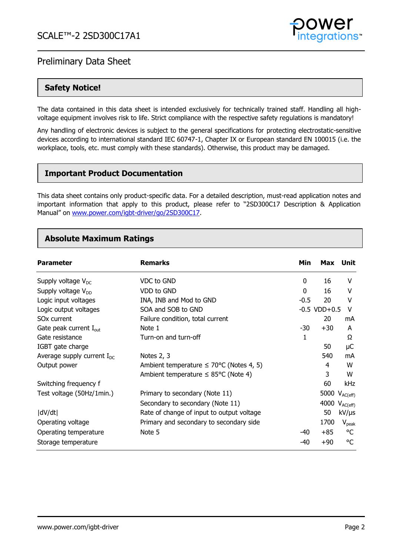

### **Safety Notice!**

The data contained in this data sheet is intended exclusively for technically trained staff. Handling all highvoltage equipment involves risk to life. Strict compliance with the respective safety regulations is mandatory!

Any handling of electronic devices is subject to the general specifications for protecting electrostatic-sensitive devices according to international standard IEC 60747-1, Chapter IX or European standard EN 100015 (i.e. the workplace, tools, etc. must comply with these standards). Otherwise, this product may be damaged.

### **Important Product Documentation**

This data sheet contains only product-specific data. For a detailed description, must-read application notes and important information that apply to this product, please refer to "2SD300C17 Description & Application Manual" on [www.power.com/igbt-driver/go/2SD300C17.](http://www.power.com/igbt-driver/go/2SD300C17)

### **Absolute Maximum Ratings**

| <b>Parameter</b>                   | <b>Remarks</b>                                       | Min    | Max               | Unit               |
|------------------------------------|------------------------------------------------------|--------|-------------------|--------------------|
| Supply voltage $V_{DC}$            | VDC to GND                                           | 0      | 16                | v                  |
| Supply voltage $V_{DD}$            | VDD to GND                                           | 0      | 16                | V                  |
| Logic input voltages               | INA, INB and Mod to GND                              | $-0.5$ | 20                | v                  |
| Logic output voltages              | SOA and SOB to GND                                   |        | $-0.5$ VDD $+0.5$ | v                  |
| SO <sub>x</sub> current            | Failure condition, total current                     |        | 20                | mA                 |
| Gate peak current $I_{\text{out}}$ | Note 1                                               | $-30$  | $+30$             | A                  |
| Gate resistance                    | Turn-on and turn-off                                 | 1      |                   | Ω                  |
| IGBT gate charge                   |                                                      |        | 50                | μC                 |
| Average supply current $I_{DC}$    | Notes 2, 3                                           |        | 540               | mA                 |
| Output power                       | Ambient temperature $\leq 70^{\circ}$ C (Notes 4, 5) |        | 4                 | W                  |
|                                    | Ambient temperature $\leq$ 85°C (Note 4)             |        | 3                 | W                  |
| Switching frequency f              |                                                      |        | 60                | kHz                |
| Test voltage (50Hz/1min.)          | Primary to secondary (Note 11)                       |        |                   | 5000 $V_{AC(eff)}$ |
|                                    | Secondary to secondary (Note 11)                     |        |                   | 4000 $V_{AC(eff)}$ |
| dV/dt                              | Rate of change of input to output voltage            |        | 50                | $kV/\mu s$         |
| Operating voltage                  | Primary and secondary to secondary side              |        | 1700              | $V_{\rm peak}$     |
| Operating temperature              | Note 5                                               | $-40$  | $+85$             | °C                 |
| Storage temperature                |                                                      | -40    | $+90$             | °C                 |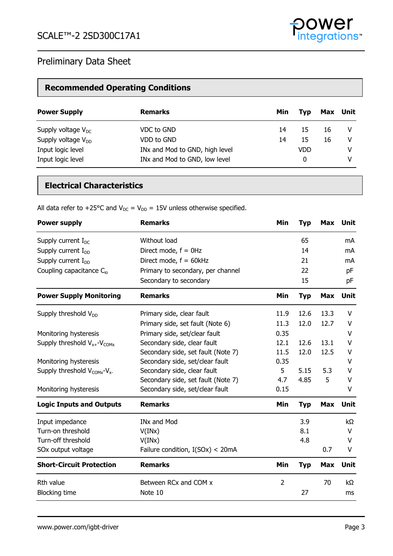

# **Recommended Operating Conditions**

| <b>Power Supply</b>     | <b>Remarks</b>                 | Min | <b>Tvp</b> |    | Max Unit |
|-------------------------|--------------------------------|-----|------------|----|----------|
| Supply voltage $V_{DC}$ | VDC to GND                     | 14  | 15         | 16 | V        |
| Supply voltage $V_{DD}$ | VDD to GND                     | 14  | 15         | 16 | v        |
| Input logic level       | INx and Mod to GND, high level |     | <b>VDD</b> |    | v        |
| Input logic level       | INx and Mod to GND, low level  |     | 0          |    | V        |

# **Electrical Characteristics**

All data refer to +25°C and  $V_{DC} = V_{DD} = 15V$  unless otherwise specified.

| <b>Power supply</b>                     | <b>Remarks</b>                     | Min            | <b>Typ</b> | <b>Max</b> | Unit        |
|-----------------------------------------|------------------------------------|----------------|------------|------------|-------------|
| Supply current $I_{DC}$                 | Without load                       |                | 65         |            | mA          |
| Supply current $I_{DD}$                 | Direct mode, $f = 0$ Hz            |                | 14         |            | mA          |
| Supply current $I_{DD}$                 | Direct mode, $f = 60kHz$           |                | 21         |            | mA          |
| Coupling capacitance $C_{io}$           | Primary to secondary, per channel  |                | 22         |            | pF          |
|                                         | Secondary to secondary             |                | 15         |            | pF          |
| <b>Power Supply Monitoring</b>          | <b>Remarks</b>                     | Min            | <b>Typ</b> | Max        | <b>Unit</b> |
| Supply threshold $V_{DD}$               | Primary side, clear fault          | 11.9           | 12.6       | 13.3       | v           |
|                                         | Primary side, set fault (Note 6)   | 11.3           | 12.0       | 12.7       | V           |
| Monitoring hysteresis                   | Primary side, set/clear fault      | 0.35           |            |            | v           |
| Supply threshold $V_{x+}$ - $V_{COMx}$  | Secondary side, clear fault        | 12.1           | 12.6       | 13.1       | V           |
|                                         | Secondary side, set fault (Note 7) | 11.5           | 12.0       | 12.5       | V           |
| Monitoring hysteresis                   | Secondary side, set/clear fault    | 0.35           |            |            | V           |
| Supply threshold $V_{COMX}$ - $V_{X}$ - | Secondary side, clear fault        | 5              | 5.15       | 5.3        | v           |
|                                         | Secondary side, set fault (Note 7) | 4.7            | 4.85       | 5          | V           |
| Monitoring hysteresis                   | Secondary side, set/clear fault    | 0.15           |            |            | V           |
| <b>Logic Inputs and Outputs</b>         | <b>Remarks</b>                     | Min            | <b>Typ</b> | <b>Max</b> | Unit        |
| Input impedance                         | <b>INx and Mod</b>                 |                | 3.9        |            | $k\Omega$   |
| Turn-on threshold                       | V(INx)                             |                | 8.1        |            | V           |
| Turn-off threshold                      | V(INx)                             |                | 4.8        |            | v           |
| SOx output voltage                      | Failure condition, I(SOx) < 20mA   |                |            | 0.7        | V           |
| <b>Short-Circuit Protection</b>         | <b>Remarks</b>                     | Min            | <b>Typ</b> | <b>Max</b> | <b>Unit</b> |
| Rth value                               | Between RCx and COM x              | $\overline{2}$ |            | 70         | $k\Omega$   |
| <b>Blocking time</b>                    | Note 10                            |                | 27         |            | ms          |

rations<sup>®</sup>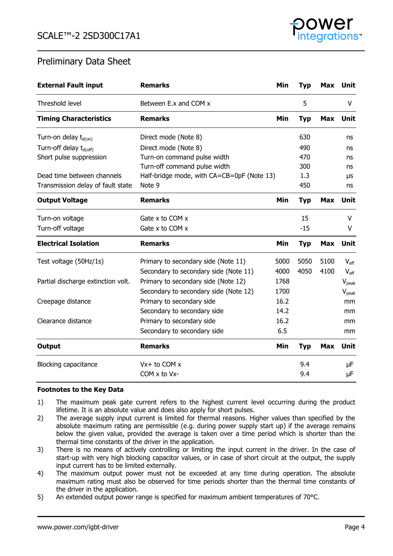

| <b>External Fault input</b>        | <b>Remarks</b>                             | Min  | <b>Typ</b> | <b>Max</b> | Unit             |
|------------------------------------|--------------------------------------------|------|------------|------------|------------------|
| Threshold level                    | Between E.x and COM x                      |      | 5          |            | V                |
| <b>Timing Characteristics</b>      | <b>Remarks</b>                             | Min  | <b>Typ</b> | Max        | Unit             |
| Turn-on delay $t_{d(0n)}$          | Direct mode (Note 8)                       |      | 630        |            | ns               |
| Turn-off delay t <sub>d(off)</sub> | Direct mode (Note 8)                       |      | 490        |            | ns               |
| Short pulse suppression            | Turn-on command pulse width                |      | 470        |            | ns               |
|                                    | Turn-off command pulse width               |      | 300        |            | ns               |
| Dead time between channels         | Half-bridge mode, with CA=CB=0pF (Note 13) |      | 1.3        |            | μs               |
| Transmission delay of fault state  | Note 9                                     |      | 450        |            | ns               |
| <b>Output Voltage</b>              | <b>Remarks</b>                             | Min  | <b>Typ</b> | Max        | Unit             |
| Turn-on voltage                    | Gate $x$ to COM $x$                        |      | 15         |            | V                |
| Turn-off voltage                   | Gate x to COM x                            |      | $-15$      |            | V                |
| <b>Electrical Isolation</b>        | <b>Remarks</b>                             | Min  | <b>Typ</b> | <b>Max</b> | Unit             |
| Test voltage (50Hz/1s)             | Primary to secondary side (Note 11)        | 5000 | 5050       | 5100       | $V_{\text{eff}}$ |
|                                    | Secondary to secondary side (Note 11)      | 4000 | 4050       | 4100       | $V_{\text{eff}}$ |
| Partial discharge extinction volt. | Primary to secondary side (Note 12)        | 1768 |            |            | $V_{peak}$       |
|                                    | Secondary to secondary side (Note 12)      | 1700 |            |            | $V_{peak}$       |
| Creepage distance                  | Primary to secondary side                  | 16.2 |            |            | mm               |
|                                    | Secondary to secondary side                | 14.2 |            |            | mm               |
| Clearance distance                 | Primary to secondary side                  | 16.2 |            |            | mm               |
|                                    | Secondary to secondary side                | 6.5  |            |            | mm               |
| <b>Output</b>                      | <b>Remarks</b>                             | Min  | <b>Typ</b> | <b>Max</b> | Unit             |
| <b>Blocking capacitance</b>        | $Vx + to COM x$                            |      | 9.4        |            | μF               |
|                                    | $COM \times$ to V $x$ -                    |      | 9.4        |            | μF               |

### **Footnotes to the Key Data**

- 1) The maximum peak gate current refers to the highest current level occurring during the product lifetime. It is an absolute value and does also apply for short pulses.
- 2) The average supply input current is limited for thermal reasons. Higher values than specified by the absolute maximum rating are permissible (e.g. during power supply start up) if the average remains below the given value, provided the average is taken over a time period which is shorter than the thermal time constants of the driver in the application.
- 3) There is no means of actively controlling or limiting the input current in the driver. In the case of start-up with very high blocking capacitor values, or in case of short circuit at the output, the supply input current has to be limited externally.
- 4) The maximum output power must not be exceeded at any time during operation. The absolute maximum rating must also be observed for time periods shorter than the thermal time constants of the driver in the application.
- 5) An extended output power range is specified for maximum ambient temperatures of 70°C.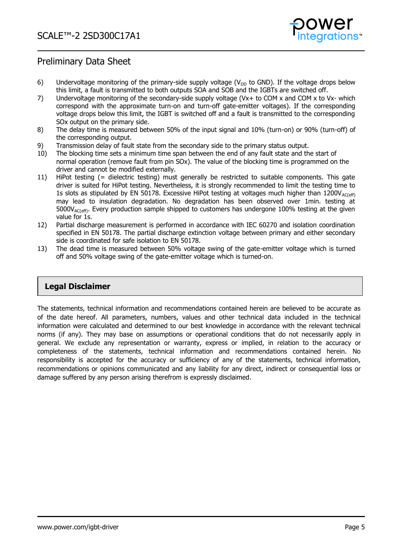

- 6) Undervoltage monitoring of the primary-side supply voltage ( $V_{DD}$  to GND). If the voltage drops below this limit, a fault is transmitted to both outputs SOA and SOB and the IGBTs are switched off.
- 7) Undervoltage monitoring of the secondary-side supply voltage (Vx+ to COM x and COM x to Vx- which correspond with the approximate turn-on and turn-off gate-emitter voltages). If the corresponding voltage drops below this limit, the IGBT is switched off and a fault is transmitted to the corresponding SOx output on the primary side.
- 8) The delay time is measured between 50% of the input signal and 10% (turn-on) or 90% (turn-off) of the corresponding output.
- 9) Transmission delay of fault state from the secondary side to the primary status output.
- 10) The blocking time sets a minimum time span between the end of any fault state and the start of normal operation (remove fault from pin SOx). The value of the blocking time is programmed on the driver and cannot be modified externally.
- 11) HiPot testing (= dielectric testing) must generally be restricted to suitable components. This gate driver is suited for HiPot testing. Nevertheless, it is strongly recommended to limit the testing time to 1s slots as stipulated by EN 50178. Excessive HiPot testing at voltages much higher than  $1200V_{AC(eff)}$ may lead to insulation degradation. No degradation has been observed over 1min. testing at  $5000V_{AC(eff)}$ . Every production sample shipped to customers has undergone 100% testing at the given value for 1s.
- 12) Partial discharge measurement is performed in accordance with IEC 60270 and isolation coordination specified in EN 50178. The partial discharge extinction voltage between primary and either secondary side is coordinated for safe isolation to EN 50178.
- 13) The dead time is measured between 50% voltage swing of the gate-emitter voltage which is turned off and 50% voltage swing of the gate-emitter voltage which is turned-on.

### **Legal Disclaimer**

The statements, technical information and recommendations contained herein are believed to be accurate as of the date hereof. All parameters, numbers, values and other technical data included in the technical information were calculated and determined to our best knowledge in accordance with the relevant technical norms (if any). They may base on assumptions or operational conditions that do not necessarily apply in general. We exclude any representation or warranty, express or implied, in relation to the accuracy or completeness of the statements, technical information and recommendations contained herein. No responsibility is accepted for the accuracy or sufficiency of any of the statements, technical information, recommendations or opinions communicated and any liability for any direct, indirect or consequential loss or damage suffered by any person arising therefrom is expressly disclaimed.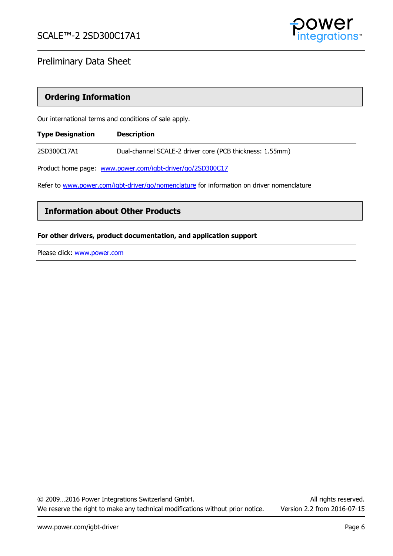

### **Ordering Information**

Our international terms and conditions of sale apply.

| <b>Type Designation</b>                                                                   | <b>Description</b>                                        |  |
|-------------------------------------------------------------------------------------------|-----------------------------------------------------------|--|
| 2SD300C17A1                                                                               | Dual-channel SCALE-2 driver core (PCB thickness: 1.55mm)  |  |
|                                                                                           | Product home page: www.power.com/igbt-driver/go/2SD300C17 |  |
| Refer to www.power.com/igbt-driver/go/nomenclature for information on driver nomenclature |                                                           |  |

### **Information about Other Products**

### **For other drivers, product documentation, and application support**

Please click: [www.power.com](http://www.power.com/)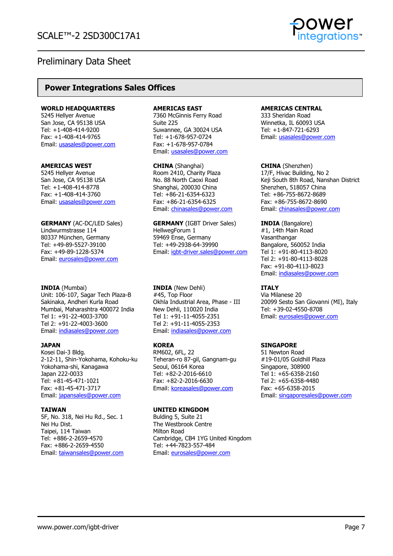

### **Power Integrations Sales Offices**

#### **WORLD HEADQUARTERS**

5245 Hellyer Avenue San Jose, CA 95138 USA Tel: +1-408-414-9200 Fax: +1-408-414-9765 Email: [usasales@power.com](mailto:usasales@power.com)

#### **AMERICAS WEST**

5245 Hellyer Avenue San Jose, CA 95138 USA Tel: +1-408-414-8778 Fax: +1-408-414-3760 Email: [usasales@power.com](mailto:usasales@power.com)

**GERMANY** (AC-DC/LED Sales) Lindwurmstrasse 114 80337 München, Germany Tel: +49-89-5527-39100 Fax: +49-89-1228-5374 Email: [eurosales@power.com](mailto:eurosales@power.com)

#### **INDIA** (Mumbai)

Unit: 106-107, Sagar Tech Plaza-B Sakinaka, Andheri Kurla Road Mumbai, Maharashtra 400072 India Tel 1: +91-22-4003-3700 Tel 2: +91-22-4003-3600 Email: [indiasales@power.com](mailto:indiasales@power.com)

### **JAPAN**

Kosei Dai-3 Bldg. 2-12-11, Shin-Yokohama, Kohoku-ku Yokohama-shi, Kanagawa Japan 222-0033 Tel: +81-45-471-1021 Fax: +81-45-471-3717 Email: [japansales@power.com](mailto:japansales@power.com)

### **TAIWAN**

5F, No. 318, Nei Hu Rd., Sec. 1 Nei Hu Dist. Taipei, 114 Taiwan Tel: +886-2-2659-4570 Fax: +886-2-2659-4550 Email: [taiwansales@power.com](mailto:taiwansales@power.com)

#### **AMERICAS EAST**

7360 McGinnis Ferry Road Suite 225 Suwannee, GA 30024 USA Tel: +1-678-957-0724 Fax: +1-678-957-0784 Email: [usasales@power.com](mailto:usasales@power.com)

**CHINA** (Shanghai) Room 2410, Charity Plaza No. 88 North Caoxi Road Shanghai, 200030 China Tel: +86-21-6354-6323 Fax: +86-21-6354-6325 Email: [chinasales@power.com](mailto:chinasales@power.com)

**GERMANY** (IGBT Driver Sales) HellwegForum 1 59469 Ense, Germany Tel: +49-2938-64-39990 Email: [igbt-driver.sales@power.com](mailto:igbt-driver.sales@power.com)

**INDIA** (New Dehli) #45, Top Floor Okhla Industrial Area, Phase - III New Dehli, 110020 India Tel 1: +91-11-4055-2351 Tel 2: +91-11-4055-2353 Email: [indiasales@power.com](mailto:indiasales@power.com)

### **KOREA**

RM602, 6FL, 22 Teheran-ro 87-gil, Gangnam-gu Seoul, 06164 Korea Tel: +82-2-2016-6610 Fax: +82-2-2016-6630 Email: [koreasales@power.com](mailto:koreasales@power.com)

### **UNITED KINGDOM**

Bulding 5, Suite 21 The Westbrook Centre Milton Road Cambridge, CB4 1YG United Kingdom Tel: +44-7823-557-484 Email: [eurosales@power.com](mailto:eurosales@power.com)

#### **AMERICAS CENTRAL**

333 Sheridan Road Winnetka, IL 60093 USA Tel: +1-847-721-6293 Email: [usasales@power.com](mailto:usasales@power.com)

**CHINA** (Shenzhen) 17/F, Hivac Building, No 2 Keji South 8th Road, Nanshan District Shenzhen, 518057 China Tel: +86-755-8672-8689 Fax: +86-755-8672-8690 Email: [chinasales@power.com](mailto:chinasales@power.com)

**INDIA** (Bangalore) #1, 14th Main Road **Vasanthangar** Bangalore, 560052 India Tel 1: +91-80-4113-8020 Tel 2: +91-80-4113-8028 Fax: +91-80-4113-8023 Email: [indiasales@power.com](mailto:indiasales@power.com)

### **ITALY**

Via Milanese 20 20099 Sesto San Giovanni (MI), Italy Tel: +39-02-4550-8708 Email: [eurosales@power.com](mailto:eurosales@power.com)

### **SINGAPORE**

51 Newton Road #19-01/05 Goldhill Plaza Singapore, 308900 Tel 1: +65-6358-2160 Tel 2: +65-6358-4480 Fax: +65-6358-2015 Email: [singaporesales@power.com](mailto:singaporesales@power.com)